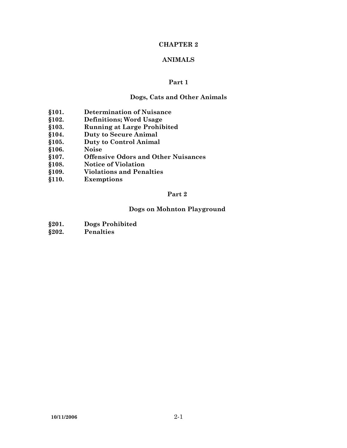# **CHAPTER 2**

# **ANIMALS**

#### **Part 1**

#### **Dogs, Cats and Other Animals**

- **§101. Determination of Nuisance**
- **§102. Definitions; Word Usage**
- **§103. Running at Large Prohibited**
- **§104. Duty to Secure Animal**
- **§105. Duty to Control Animal**
- **§106. Noise**
- **§107. Offensive Odors and Other Nuisances**
- **§108. Notice of Violation**
- **§109. Violations and Penalties**
- **§110. Exemptions**

### **Part 2**

# **Dogs on Mohnton Playground**

- **§201. Dogs Prohibited**
- **§202. Penalties**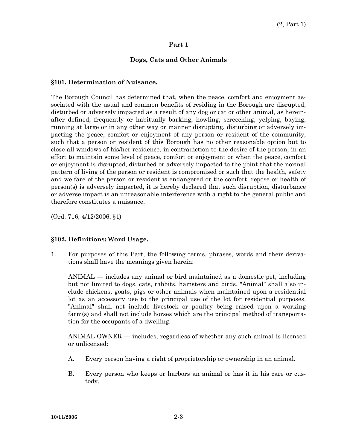#### **Part 1**

# **Dogs, Cats and Other Animals**

#### **§101. Determination of Nuisance.**

The Borough Council has determined that, when the peace, comfort and enjoyment associated with the usual and common benefits of residing in the Borough are disrupted, disturbed or adversely impacted as a result of any dog or cat or other animal, as hereinafter defined, frequently or habitually barking, howling, screeching, yelping, baying, running at large or in any other way or manner disrupting, disturbing or adversely impacting the peace, comfort or enjoyment of any person or resident of the community, such that a person or resident of this Borough has no other reasonable option but to close all windows of his/her residence, in contradiction to the desire of the person, in an effort to maintain some level of peace, comfort or enjoyment or when the peace, comfort or enjoyment is disrupted, disturbed or adversely impacted to the point that the normal pattern of living of the person or resident is compromised or such that the health, safety and welfare of the person or resident is endangered or the comfort, repose or health of person(s) is adversely impacted, it is hereby declared that such disruption, disturbance or adverse impact is an unreasonable interference with a right to the general public and therefore constitutes a nuisance.

(Ord. 716, 4/12/2006, §1)

### **§102. Definitions; Word Usage.**

1. For purposes of this Part, the following terms, phrases, words and their derivations shall have the meanings given herein:

 ANIMAL — includes any animal or bird maintained as a domestic pet, including but not limited to dogs, cats, rabbits, hamsters and birds. "Animal" shall also include chickens, goats, pigs or other animals when maintained upon a residential lot as an accessory use to the principal use of the lot for residential purposes. "Animal" shall not include livestock or poultry being raised upon a working farm(s) and shall not include horses which are the principal method of transportation for the occupants of a dwelling.

 ANIMAL OWNER — includes, regardless of whether any such animal is licensed or unlicensed:

- A. Every person having a right of proprietorship or ownership in an animal.
- B. Every person who keeps or harbors an animal or has it in his care or custody.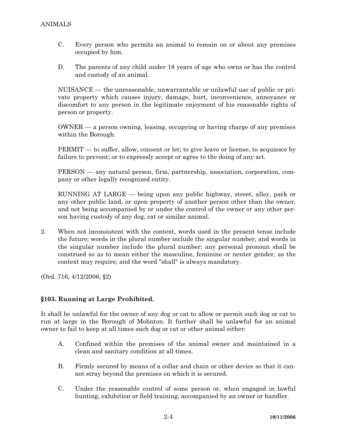- C. Every person who permits an animal to remain on or about any premises occupied by him.
- D. The parents of any child under 18 years of age who owns or has the control and custody of an animal.

 NUISANCE — the unreasonable, unwarrantable or unlawful use of public or private property which causes injury, damage, hurt, inconvenience, annoyance or discomfort to any person in the legitimate enjoyment of his reasonable rights of person or property.

 OWNER — a person owning, leasing, occupying or having charge of any premises within the Borough.

 PERMIT — to suffer, allow, consent or let; to give leave or license, to acquiesce by failure to prevent; or to expressly accept or agree to the doing of any act.

 PERSON — any natural person, firm, partnership, association, corporation, company or other legally recognized entity.

 RUNNING AT LARGE — being upon any public highway, street, alley, park or any other public land, or upon property of another person other than the owner, and not being accompanied by or under the control of the owner or any other person having custody of any dog, cat or similar animal.

2. When not inconsistent with the context, words used in the present tense include the future; words in the plural number include the singular number, and words in the singular number include the plural number; any personal pronoun shall be construed so as to mean either the masculine, feminine or neuter gender, as the context may require; and the word "shall" is always mandatory.

(Ord. 716, 4/12/2006, §2)

### **§103. Running at Large Prohibited.**

It shall be unlawful for the owner of any dog or cat to allow or permit such dog or cat to run at large in the Borough of Mohnton. It further shall be unlawful for an animal owner to fail to keep at all times such dog or cat or other animal either:

- A. Confined within the premises of the animal owner and maintained in a clean and sanitary condition at all times.
- B. Firmly secured by means of a collar and chain or other device so that it cannot stray beyond the premises on which it is secured.
- C. Under the reasonable control of some person or, when engaged in lawful hunting, exhibition or field training, accompanied by an owner or handler.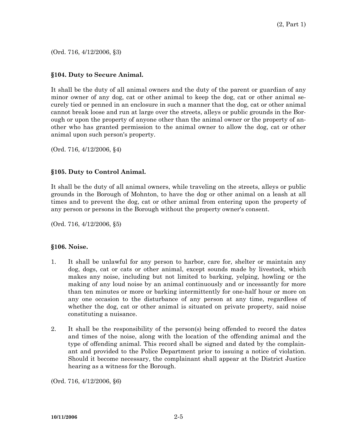(Ord. 716, 4/12/2006, §3)

# **§104. Duty to Secure Animal.**

It shall be the duty of all animal owners and the duty of the parent or guardian of any minor owner of any dog, cat or other animal to keep the dog, cat or other animal securely tied or penned in an enclosure in such a manner that the dog, cat or other animal cannot break loose and run at large over the streets, alleys or public grounds in the Borough or upon the property of anyone other than the animal owner or the property of another who has granted permission to the animal owner to allow the dog, cat or other animal upon such person's property.

(Ord. 716, 4/12/2006, §4)

# **§105. Duty to Control Animal.**

It shall be the duty of all animal owners, while traveling on the streets, alleys or public grounds in the Borough of Mohnton, to have the dog or other animal on a leash at all times and to prevent the dog, cat or other animal from entering upon the property of any person or persons in the Borough without the property owner's consent.

(Ord. 716, 4/12/2006, §5)

### **§106. Noise.**

- 1. It shall be unlawful for any person to harbor, care for, shelter or maintain any dog, dogs, cat or cats or other animal, except sounds made by livestock, which makes any noise, including but not limited to barking, yelping, howling or the making of any loud noise by an animal continuously and or incessantly for more than ten minutes or more or barking intermittently for one-half hour or more on any one occasion to the disturbance of any person at any time, regardless of whether the dog, cat or other animal is situated on private property, said noise constituting a nuisance.
- 2. It shall be the responsibility of the person(s) being offended to record the dates and times of the noise, along with the location of the offending animal and the type of offending animal. This record shall be signed and dated by the complainant and provided to the Police Department prior to issuing a notice of violation. Should it become necessary, the complainant shall appear at the District Justice hearing as a witness for the Borough.

(Ord. 716, 4/12/2006, §6)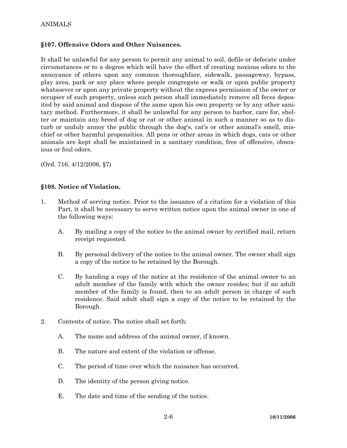# ANIMALS

#### **§107. Offensive Odors and Other Nuisances.**

It shall be unlawful for any person to permit any animal to soil, defile or defecate under circumstances or to a degree which will have the effect of creating noxious odors to the annoyance of others upon any common thoroughfare, sidewalk, passageway, bypass, play area, park or any place where people congregate or walk or upon public property whatsoever or upon any private property without the express permission of the owner or occupier of such property, unless such person shall immediately remove all feces deposited by said animal and dispose of the same upon his own property or by any other sanitary method. Furthermore, it shall be unlawful for any person to harbor, care for, shelter or maintain any breed of dog or cat or other animal in such a manner so as to disturb or unduly annoy the public through the dog's, cat's or other animal's smell, mischief or other harmful propensities. All pens or other areas in which dogs, cats or other animals are kept shall be maintained in a sanitary condition, free of offensive, obnoxious or foul odors.

(Ord. 716, 4/12/2006, §7)

#### **§108. Notice of Violation.**

- 1. Method of serving notice. Prior to the issuance of a citation for a violation of this Part, it shall be necessary to serve written notice upon the animal owner in one of the following ways:
	- A. By mailing a copy of the notice to the animal owner by certified mail, return receipt requested.
	- B. By personal delivery of the notice to the animal owner. The owner shall sign a copy of the notice to be retained by the Borough.
	- C. By handing a copy of the notice at the residence of the animal owner to an adult member of the family with which the owner resides; but if no adult member of the family is found, then to an adult person in charge of such residence. Said adult shall sign a copy of the notice to be retained by the Borough.
- 2. Contents of notice. The notice shall set forth:
	- A. The name and address of the animal owner, if known.
	- B. The nature and extent of the violation or offense.
	- C. The period of time over which the nuisance has occurred.
	- D. The identity of the person giving notice.
	- E. The date and time of the sending of the notice.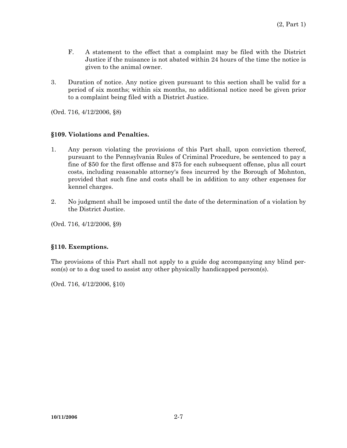- F. A statement to the effect that a complaint may be filed with the District Justice if the nuisance is not abated within 24 hours of the time the notice is given to the animal owner.
- 3. Duration of notice. Any notice given pursuant to this section shall be valid for a period of six months; within six months, no additional notice need be given prior to a complaint being filed with a District Justice.

(Ord. 716, 4/12/2006, §8)

# **§109. Violations and Penalties.**

- 1. Any person violating the provisions of this Part shall, upon conviction thereof, pursuant to the Pennsylvania Rules of Criminal Procedure, be sentenced to pay a fine of \$50 for the first offense and \$75 for each subsequent offense, plus all court costs, including reasonable attorney's fees incurred by the Borough of Mohnton, provided that such fine and costs shall be in addition to any other expenses for kennel charges.
- 2. No judgment shall be imposed until the date of the determination of a violation by the District Justice.

(Ord. 716, 4/12/2006, §9)

### **§110. Exemptions.**

The provisions of this Part shall not apply to a guide dog accompanying any blind person(s) or to a dog used to assist any other physically handicapped person(s).

(Ord. 716, 4/12/2006, §10)